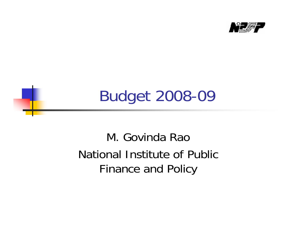

## Budget 2008-09

### M. Govinda RaoNational Institute of Public Finance and Policy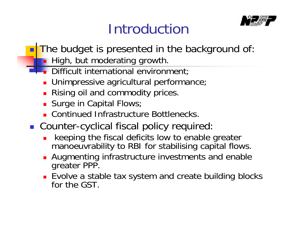### Introduction



- T. The budget is presented in the background of:
	- **High, but moderating growth.**
	- **Difficult international environment** 
		- **Dimpressive agricultural performance**;
		- **Rising oil and commodity prices.**
		- **Surge in Capital Flows**;
		- **E** Continued Infrastructure Bottlenecks.
- **Counter-cyclical fiscal policy required:** 
	- × keeping the fiscal deficits low to enable greater manoeuvrability to RBI for stabilising capital flows.
	- **Augmenting infrastructure investments and enable** greater PPP.
	- Evolve a stable tax system and create building blocks for the GST.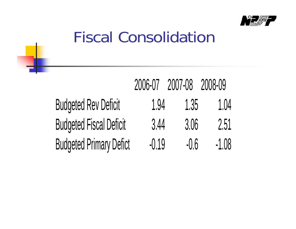

### Fiscal Consolidation

|                                |         | 2006-07 2007-08 2008-09 |         |
|--------------------------------|---------|-------------------------|---------|
| <b>Budgeted Rev Deficit</b>    | 1.94    | 1.35                    | 1.04    |
| <b>Budgeted Fiscal Deficit</b> | 3.44    | 3.06                    | 2.51    |
| <b>Budgeted Primary Defict</b> | $-0.19$ | $-0.6$                  | $-1.08$ |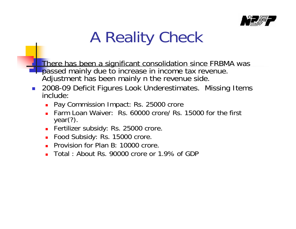

# A Reality Check

 There has been a significant consolidation since FRBMA was passed mainly due to increase in income tax revenue. Adjustment has been mainly n the revenue side.

- $\mathcal{L}_{\mathcal{A}}$  2008-09 Deficit Figures Look Underestimates. Missing Items include:
	- **Pay Commission Impact: Rs. 25000 crore**
	- Farm Loan Waiver: Rs. 60000 crore/ Rs. 15000 for the first year(?).
	- **Fertilizer subsidy: Rs. 25000 crore.**
	- Food Subsidy: Rs. 15000 crore.
	- **Provision for Plan B: 10000 crore.**
	- $\blacksquare$ Total : About Rs. 90000 crore or 1.9% of GDP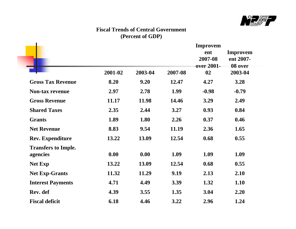

#### **Fiscal Trends of Central Government (Percent of GDP)**

|                                        | 2001-02 | 2003-04 | 2007-08 | <b>Improvem</b><br>ent<br>2007-08<br>over 2001-<br>02 | <b>Improvem</b><br>ent 2007-<br>08 over<br>2003-04 |
|----------------------------------------|---------|---------|---------|-------------------------------------------------------|----------------------------------------------------|
| <b>Gross Tax Revenue</b>               | 8.20    | 9.20    | 12.47   | 4.27                                                  | 3.28                                               |
| <b>Non-tax revenue</b>                 | 2.97    | 2.78    | 1.99    | $-0.98$                                               | $-0.79$                                            |
| <b>Gross Revenue</b>                   | 11.17   | 11.98   | 14.46   | 3.29                                                  | 2.49                                               |
| <b>Shared Taxes</b>                    | 2.35    | 2.44    | 3.27    | 0.93                                                  | 0.84                                               |
| <b>Grants</b>                          | 1.89    | 1.80    | 2.26    | 0.37                                                  | 0.46                                               |
| <b>Net Revenue</b>                     | 8.83    | 9.54    | 11.19   | 2.36                                                  | 1.65                                               |
| <b>Rev. Expenditure</b>                | 13.22   | 13.09   | 12.54   | 0.68                                                  | 0.55                                               |
| <b>Transfers to Imple.</b><br>agencies | 0.00    | 0.00    | 1.09    | 1.09                                                  | 1.09                                               |
| <b>Net Exp</b>                         | 13.22   | 13.09   | 12.54   | 0.68                                                  | 0.55                                               |
| <b>Net Exp-Grants</b>                  | 11.32   | 11.29   | 9.19    | 2.13                                                  | 2.10                                               |
| <b>Interest Payments</b>               | 4.71    | 4.49    | 3.39    | 1.32                                                  | 1.10                                               |
| Rev. def                               | 4.39    | 3.55    | 1.35    | 3.04                                                  | 2.20                                               |
| <b>Fiscal deficit</b>                  | 6.18    | 4.46    | 3.22    | 2.96                                                  | 1.24                                               |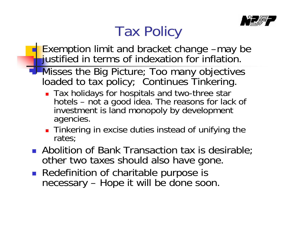

### Tax Policy

- **Exemption limit and bracket change –may be** iustified in terms of indexation for inflation.
- **I-Misses the Big Picture; Too many objectives** loaded to tax policy; Continues Tinkering.
	- Tax holidays for hospitals and two-three star hotels – not a good idea. The reasons for lack of investment is land monopoly by development agencies.
	- **Tinkering in excise duties instead of unifying the** rates;
	- **Abolition of Bank Transaction tax is desirable**; other two taxes should also have gone.
	- **Redefinition of charitable purpose is** necessary – Hope it will be done soon.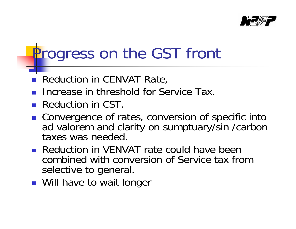

## Progress on the GST front

- П Reduction in CENVAT Rate,
- H Increase in threshold for Service Tax.
- **Reduction in CST.**
- Convergence of rates, conversion of specific into ad valorem and clarity on sumptuary/sin /carbon taxes was needed.
- **Reduction in VENVAT rate could have been** combined with conversion of Service tax from selective to general.
- **Nill have to wait longer**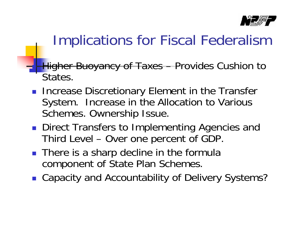

### Implications for Fiscal Federalism

- F. **Higher Buoyancy of Taxes – Provides Cushion to** States.
	- **Increase Discretionary Element in the Transfer** System. Increase in the Allocation to Various Schemes. Ownership Issue.
	- **Direct Transfers to Implementing Agencies and** Third Level – Over one percent of GDP.
	- There is a sharp decline in the formula component of State Plan Schemes.
	- Capacity and Accountability of Delivery Systems?